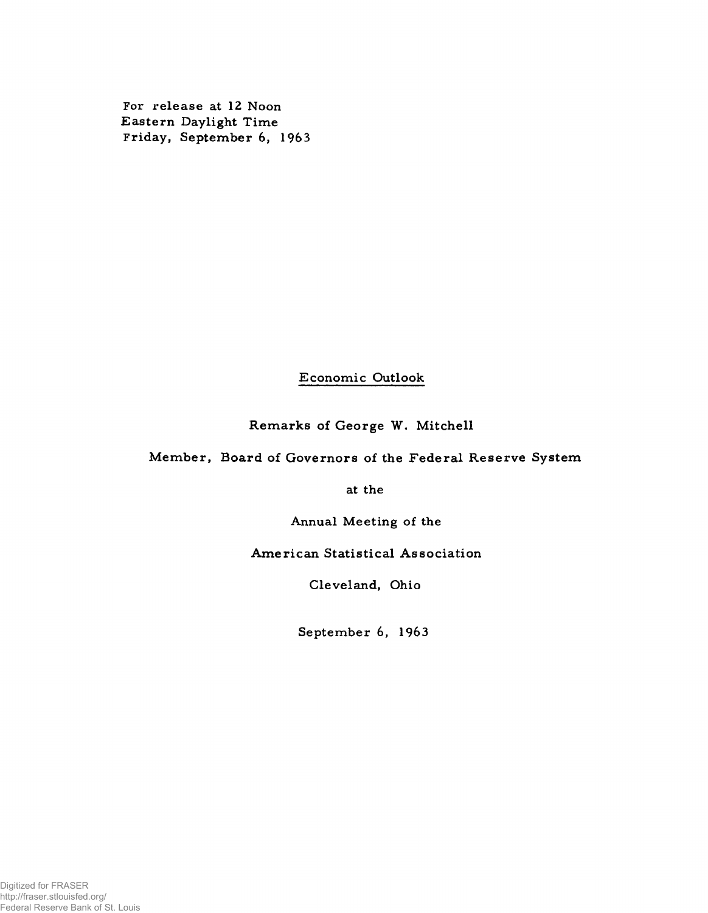For release at 12 Noon Eastern Daylight Time Friday, September 6, 1963

# Economic Outlook

Remarks of George W. Mitchell

Member, Board of Governors of the Federal Reserve System

at the

Annual Meeting of the

American Statistical Association

Cleveland, Ohio

September 6, 1963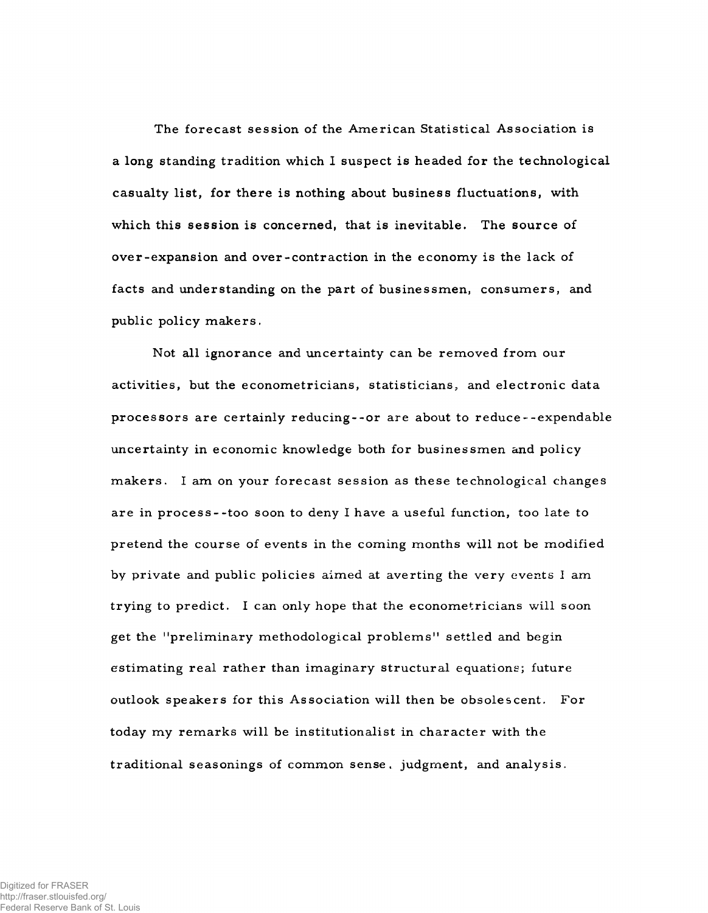The forecast session of the American Statistical Association is a long standing tradition which I suspect is headed for the technological casualty list, for there is nothing about business fluctuations, with which this session is concerned, that is inevitable. The source of over-expansion and over-contraction in the economy is the lack of facts and understanding on the part of businessmen, consum ers, and public policy makers.

Not all ignorance and uncertainty can be removed from our activities, but the econometricians, statisticians, and electronic data processors are certainly reducing -- or are about to reduce--expendable uncertainty in economic knowledge both for businessmen and policy makers. I am on your forecast session as these technological changes are in process--too soon to deny I have a useful function, too late to pretend the course of events in the coming months will not be modified by private and public policies aimed at averting the very events  $I$  am trying to predict. I can only hope that the econometricians will soon get the "preliminary methodological problems" settled and begin estimating real rather than imaginary structural equations; future outlook speakers for this Association will then be obsolescent. For today my remarks will be institutionalist in character with the traditional seasonings of common sense, judgment, and analysis.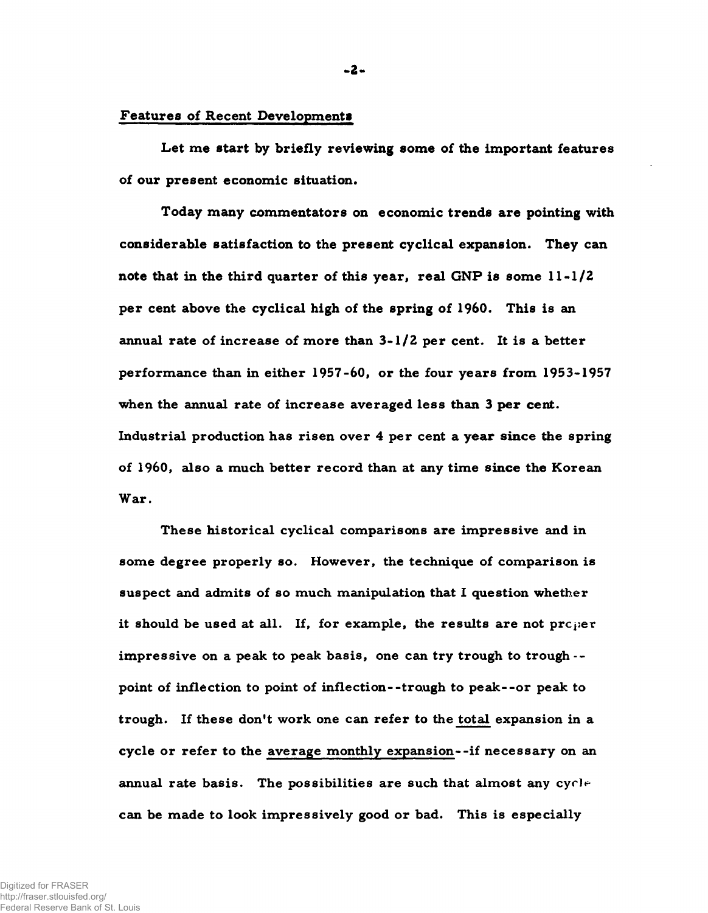## Features of Recent Development»

Let me start by briefly reviewing some of the important features of our present economic situation.

Today many commentators on economic trends are pointing with considerable satisfaction to the present cyclical expansion. They can note that in the third quarter of this year, real GNP is some  $11-1/2$ per cent above the cyclical high of the spring of 1960. This is an annual rate of increase of more than  $3-1/2$  per cent. It is a better performance than in either 1957-60, or the four years from 1953-1957 when the annual rate of increase averaged less than 3 per cent. Industrial production has risen over  $4$  per cent a year since the spring of 1960, also a much better record than at any time since the Korean War.

These historical cyclical comparisons are impressive and in some degree properly so. However, the technique of comparison is suspect and admits of so much manipulation that I question whether it should be used at all. If, for example, the results are not  $pre_i$ im p ressive on a peak to peak basis, one can try trough to trough -point of inflection to point of inflection--trough to peak--or peak to trough. If these don't work one can refer to the total expansion in a cycle or refer to the average monthly expansion--if necessary on an annual rate basis. The possibilities are such that almost any  $\text{cycl}^+$ can be made to look impressively good or bad. This is especially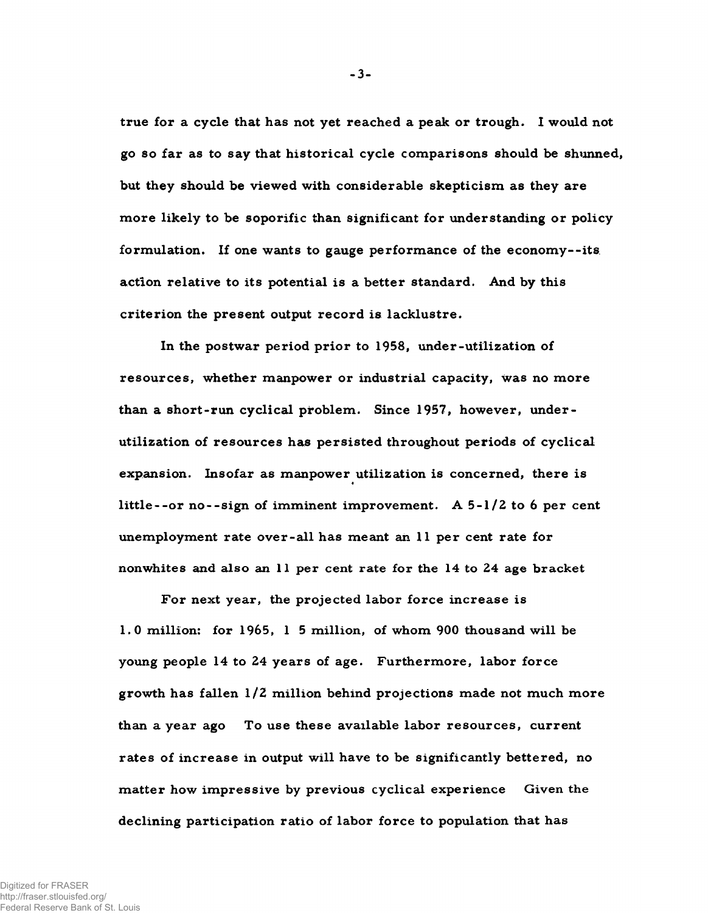true for a cycle that has not yet reached a peak or trough. I would not go so far as to say that historical cycle comparisons should be shunned, but they should be viewed with considerable skepticism as they are more likely to be soporific than significant for understanding or policy formulation. If one wants to gauge performance of the economy--its action relative to its potential is a better standard. And by this criterion the present output record is lacklustre.

In the postwar period prior to 1958, under-utilization of resources, whether manpower or industrial capacity, was no more than a short-run cyclical problem. Since 1957, however, underutilization of resources has persisted throughout periods of cyclical expansion. Insofar as manpower utilization is concerned, there is « little--or no--sign of imminent improvement. A  $5-l/2$  to 6 per cent unemployment rate over-all has meant an 11 per cent rate for nonwhites and also an 11 per cent rate for the 14 to 24 age bracket

For next year, the projected labor force increase is 1.0 million: for  $1965$ , 1 5 million, of whom 900 thous and will be young people 14 to 24 years of age. Furthermore, labor force growth has fallen  $1/2$  million behind projections made not much more than a year ago To use these available labor resources, current rates of increase in output will have to be significantly bettered, no matter how impressive by previous cyclical experience Given the declining participation ratio of labor force to population that has

-3-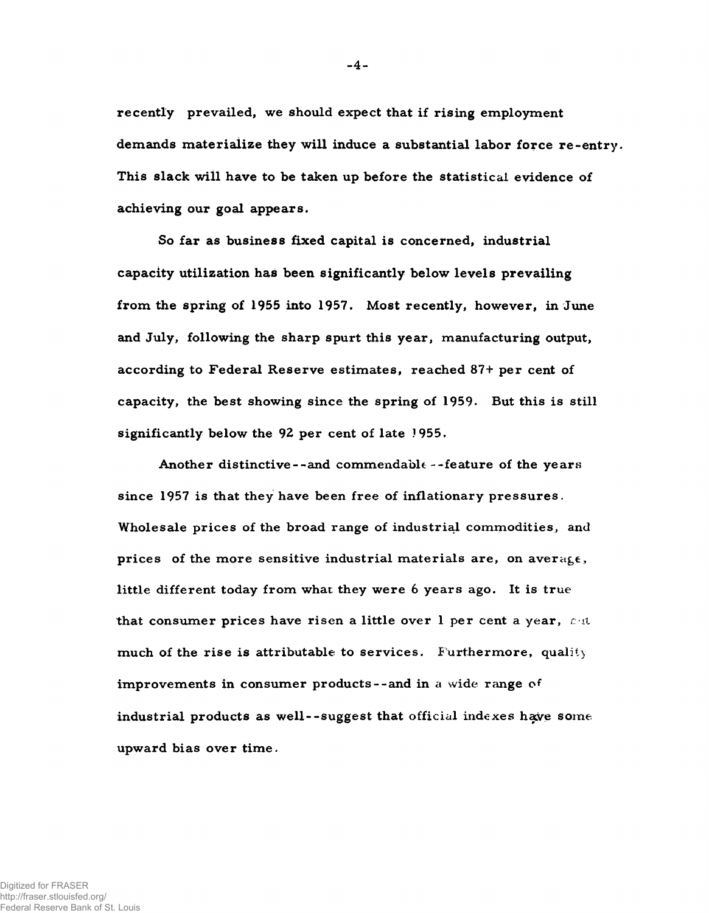recently prevailed, we should expect that if rising employment demands materialize they will induce a substantial labor force re-entry. This slack will have to be taken up before the statistical evidence of achieving our goal appears.

So far as business fixed capital is concerned, industrial capacity utilization has been significantly below levels prevailing from the spring of 1955 into 1957. Most recently, however, in June and July, following the sharp spurt this year, manufacturing output, according to Federal Reserve estimates, reached 87+ per cent of capacity, the best showing since the spring of 1959. But this is still significantly below the 92 per cent of late 1955.

Another distinctive --and commendable --feature of the years since 1957 is that they have been free of inflationary pressures. Wholesale prices of the broad range of industrial commodities, and prices of the more sensitive industrial materials are, on average, little different today from what they were 6 years ago. It is true that consumer prices have risen a little over  $l$  per cent a year,  $r \cdot l$ much of the rise is attributable to services. Furthermore, quality improvements in consumer products--and in a wide range of industrial products as well--suggest that official indexes have someupward bias over time.

-4-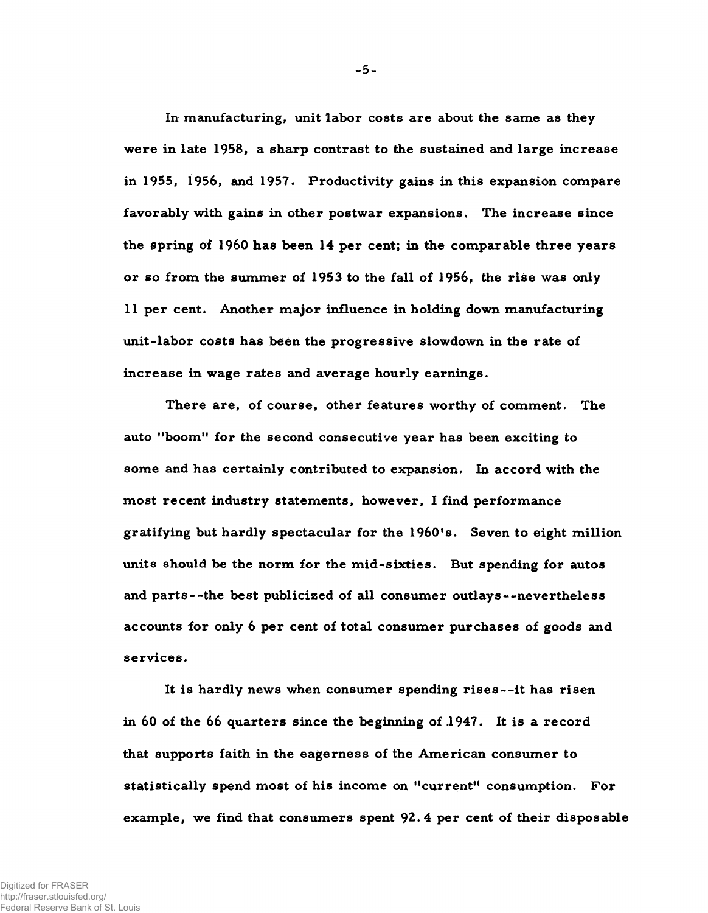In manufacturing, unit labor costs are about the same as they were in late 1958, a sharp contrast to the sustained and large increase in 1955, 1956, and 1957. Productivity gains in this expansion compare favorably with gains in other postwar expansions. The increase since the spring of  $1960$  has been  $14$  per cent; in the comparable three years or so from the summer of 1953 to the fall of 1956, the rise was only 11 per cent. Another major influence in holding down manufacturing unit-labor costs has been the progressive slowdown in the rate of increase in wage rates and average hourly earnings.

There are, of course, other features worthy of comment. The auto "boom" for the second consecutive year has been exciting to some and has certainly contributed to expansion. In accord with the most recent industry statements, however, I find performance gratifying but hardly spectacular for the 1960's. Seven to eight million units should be the norm for the mid-sixties. But spending for autos and parts--the best publicized of all consumer outlays--nevertheless accounts for only 6 per cent of total consumer purchases of goods and services.

It is hardly news when consumer spending rises--it has risen in 60 of the 66 quarters since the beginning of  $1947$ . It is a record that supports faith in the eagerness of the American consumer to statistically spend most of his income on "current" consumption. For example, we find that consumers spent 92.4 per cent of their disposable

-5-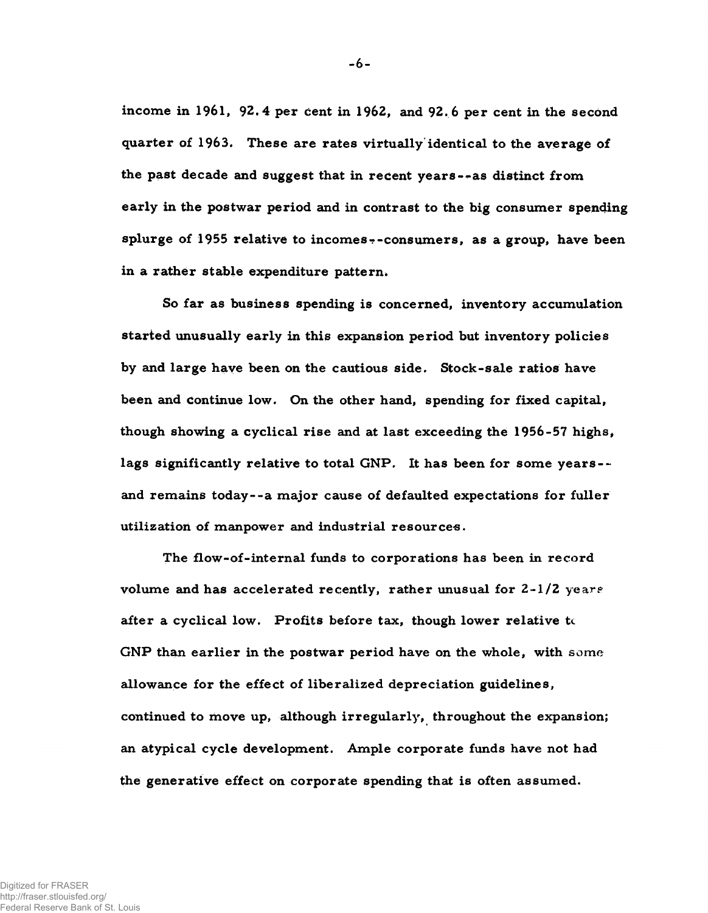income in 1961, 92.4 per cent in 1962, and 92.6 per cent in the second quarter of 1963. These are rates virtually identical to the average of the past decade and suggest that in recent years--as distinct from early in the postwar period and in contrast to the big consumer spending splurge of 1955 relative to incomes--consumers, as a group, have been in a rather stable expenditure pattern.

So far as business spending is concerned, inventory accumulation started unusually early in this expansion period but inventory policies by and large have been on the cautious side. Stock-sale ratios have been and continue low. On the other hand, spending for fixed capital, though showing a cyclical rise and at last exceeding the 1956-57 highs, lags significantly relative to total GNP. It has been for some years-and remains today--a major cause of defaulted expectations for fuller utilization of manpower and industrial resources.

The flow-of-internal funds to corporations has been in record volume and has accelerated recently, rather unusual for  $2-1/2$  years after a cyclical low. Profits before tax, though lower relative to GNP than earlier in the postwar period have on the whole, with some allowance for the effect of liberalized depreciation guidelines, continued to move up, although irregularly, throughout the expansion; an atypical cycle development. Ample corporate funds have not had the generative effect on corporate spending that is often assumed.

-6-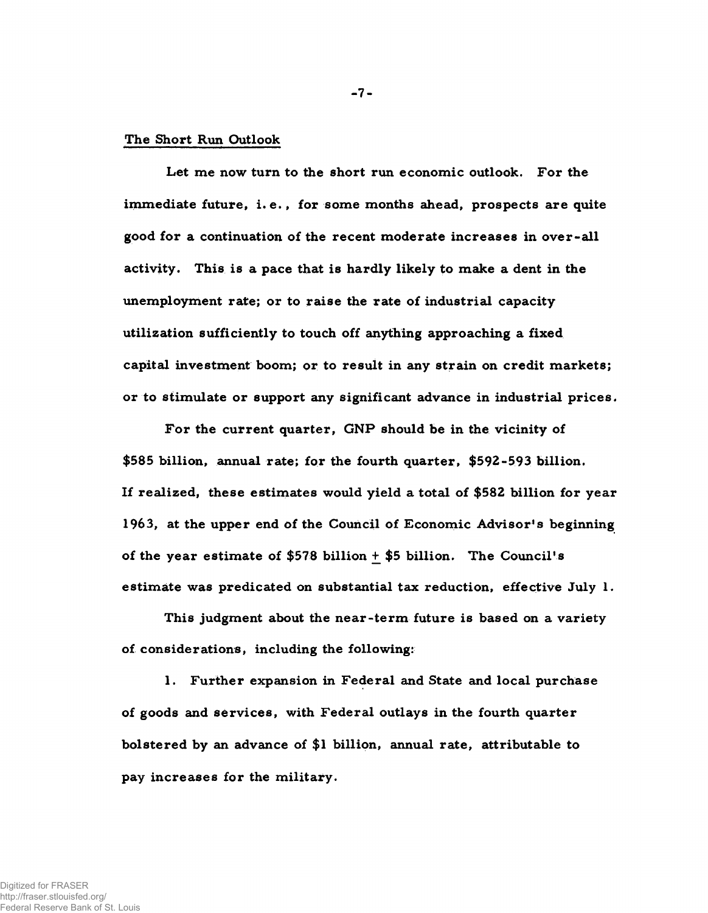### The Short Run Outlook

Let me now turn to the short run economic outlook. For the im mediate future, i.e., for some months ahead, prospects are quite good for a continuation of the recent moderate increases in over-all activity. This is a pace that is hardly likely to make a dent in the unemployment rate; or to raise the rate of industrial capacity utilization sufficiently to touch off anything approaching a fixed capital investment boom; or to result in any strain on credit markets; or to stimulate or support any significant advance in industrial prices.

 $-7 -$ 

For the current quarter, GNP should be in the vicinity of \$585 billion, annual rate; for the fourth quarter, \$592-593 billion. If realized, these estimates would yield a total of  $$582$  billion for year 1963, at the upper end of the Council of Economic Advisor's beginning of the year estimate of  $$578$  billion + \$5 billion. The Council's estimate was predicated on substantial tax reduction, effective July  $l$ .

This judgment about the near-term future is based on a variety of considerations, including the following:

1. Further expansion in Federal and State and local purchase of goods and services, with Federal outlays in the fourth quarter bolstered by an advance of  $$1$  billion, annual rate, attributable to pay increases for the military.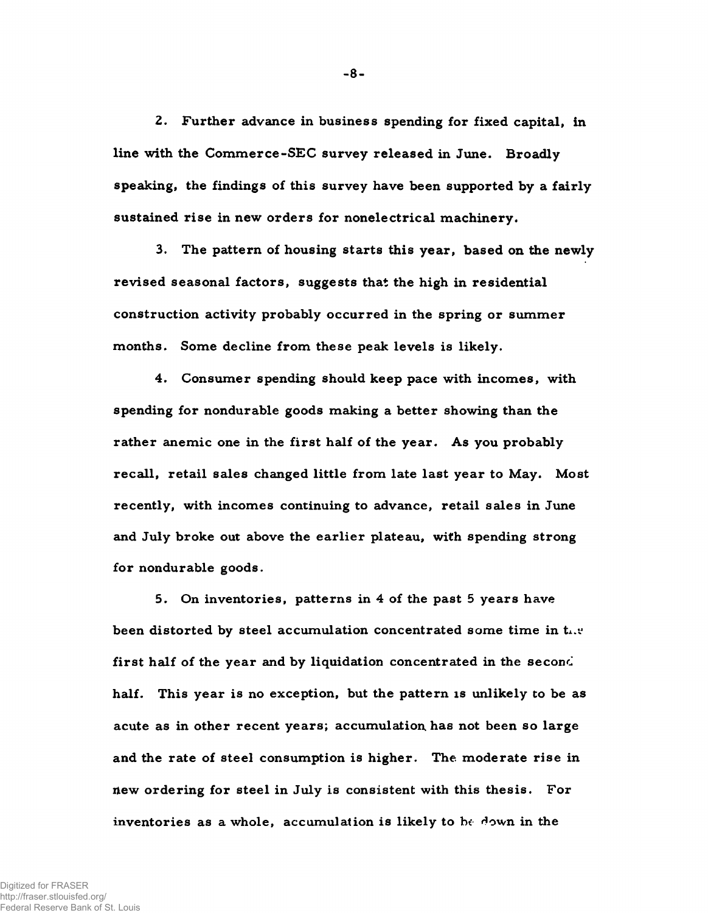2. Further advance in business spending for fixed capital, in line with the Commerce-SEC survey released in June. Broadly speaking, the findings of this survey have been supported by a fairly sustained rise in new orders for nonelectrical machinery.

3. The pattern of housing starts this year, based on the newly revised seasonal factors, suggests that the high in residential construction activity probably occurred in the spring or summer months. Some decline from these peak levels is likely.

4. Consumer spending should keep pace with incomes, with spending for nondurable goods making a better showing than the rather anemic one in the first half of the year. As you probably recall, retail sales changed little from late last year to May. Most recently, with incomes continuing to advance, retail sales in June and July broke out above the earlier plateau, with spending strong for nondurable goods.

5. On inventories, patterns in 4 of the past 5 years have been distorted by steel accumulation concentrated some time in the first half of the year and by liquidation concentrated in the second half. This year is no exception, but the pattern is unlikely to be as acute as in other recent years; accumulation has not been so large and the rate of steel consumption is higher. The moderate rise in new ordering for steel in July is consistent with this thesis. For inventories as a whole, accumulation is likely to be down in the

 $-8-$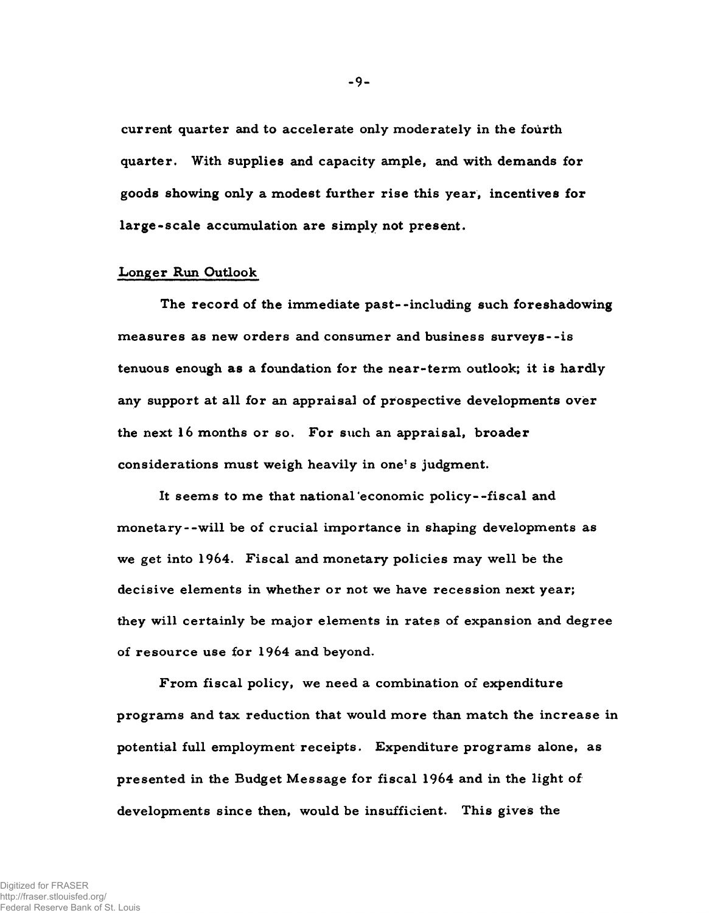current quarter and to accelerate only moderately in the fourth quarter. With supplies and capacity ample, and with demands for goods showing only a modest further rise this year, incentives for large-scale accumulation are simply not present.

#### Longer Run Outlook

The record of the immediate past--including such foreshadowing measures as new orders and consumer and business surveys--is tenuous enough as a foundation for the near-term outlook; it is hardly any support at all for an appraisal of prospective developments over the next  $16$  months or so. For such an appraisal, broader considerations must weigh heavily in one's judgment.

It seems to me that national economic policy--fiscal and monetary--will be of crucial importance in shaping developments as we get into  $1964$ . Fiscal and monetary policies may well be the decisive elements in whether or not we have recession next year; they will certainly be major elements in rates of expansion and degree of resource use for 1964 and beyond.

From fiscal policy, we need a combination of expenditure programs and tax reduction that would more than match the increase in potential full employment receipts. Expenditure programs alone, as presented in the Budget Message for fiscal 1964 and in the light of developments since then, would be insufficient. This gives the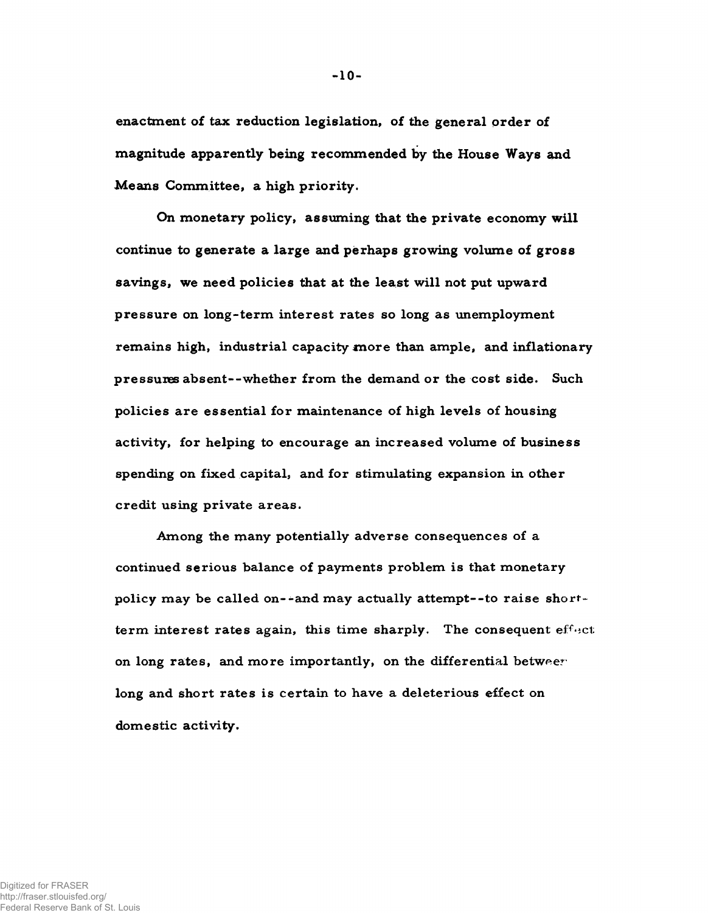enactment of tax reduction legislation, of the general order of magnitude apparently being recommended by the House Ways and Means Committee, a high priority.

On monetary policy, assuming that the private economy will continue to generate a large and perhaps growing volume of gross savings, we need policies that at the least will not put upward pressure on long-term interest rates so long as unemployment remains high, industrial capacity more than ample, and inflationary pressures absent--whether from the demand or the cost side. Such policies are essential for maintenance of high levels of housing activity, for helping to encourage an increased volume of business spending on fixed capital, and for stimulating expansion in other credit using private areas.

Among the many potentially adverse consequences of a continued serious balance of payments problem is that monetary policy may be called on--and may actually attempt--to raise shortterm interest rates again, this time sharply. The consequent effect on long rates, and more importantly, on the differential betweer long and short rates is certain to have a deleterious effect on domestic activity.

 $-10-$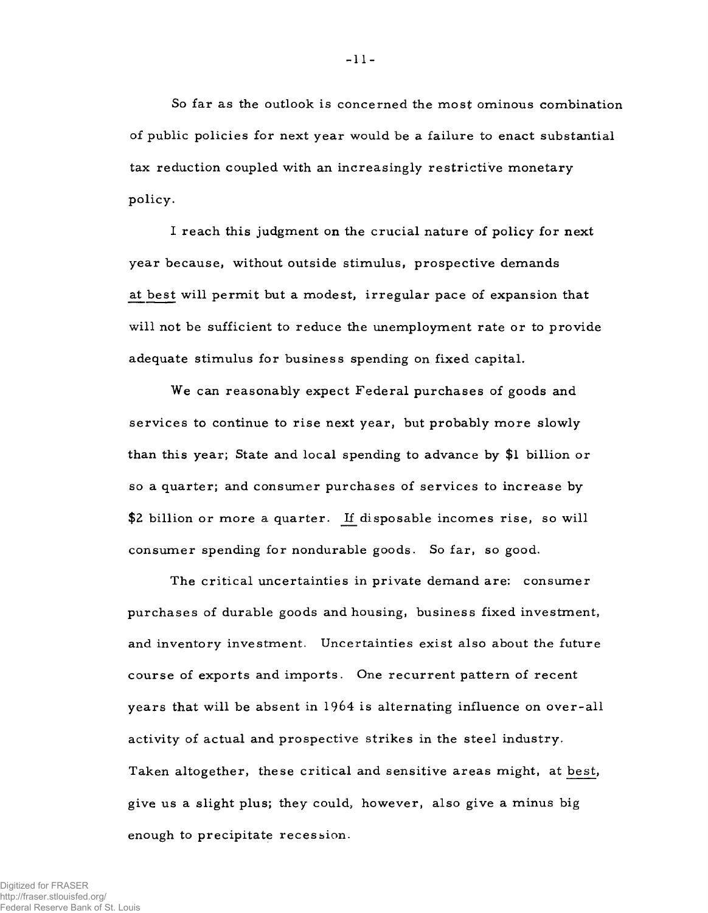So far as the outlook is concerned the most ominous combination of public policies for next year would be a failure to enact substantial tax reduction coupled with an increasingly restrictive monetary policy.

I reach this judgment on the crucial nature of policy for next year because, without outside stimulus, prospective demands at best will permit but a modest, irregular pace of expansion that will not be sufficient to reduce the unemployment rate or to provide adequate stimulus for business spending on fixed capital.

We can reasonably expect Federal purchases of goods and services to continue to rise next year, but probably more slowly than this year; State and local spending to advance by \$1 billion or so a quarter; and consumer purchases of services to increase by \$2 billion or more a quarter. If disposable incomes rise, so will consum er spending for nondurable goods. So far, so good.

The critical uncertainties in private demand are: consumer purchases of durable goods and housing, business fixed investment, and inventory investment. Uncertainties exist also about the future course of exports and imports. One recurrent pattern of recent years that will be absent in 1964 is alternating influence on over-all activity of actual and prospective strikes in the steel industry. Taken altogether, these critical and sensitive areas might, at best, give us a slight plus; they could, however, also give a minus big enough to precipitate recession.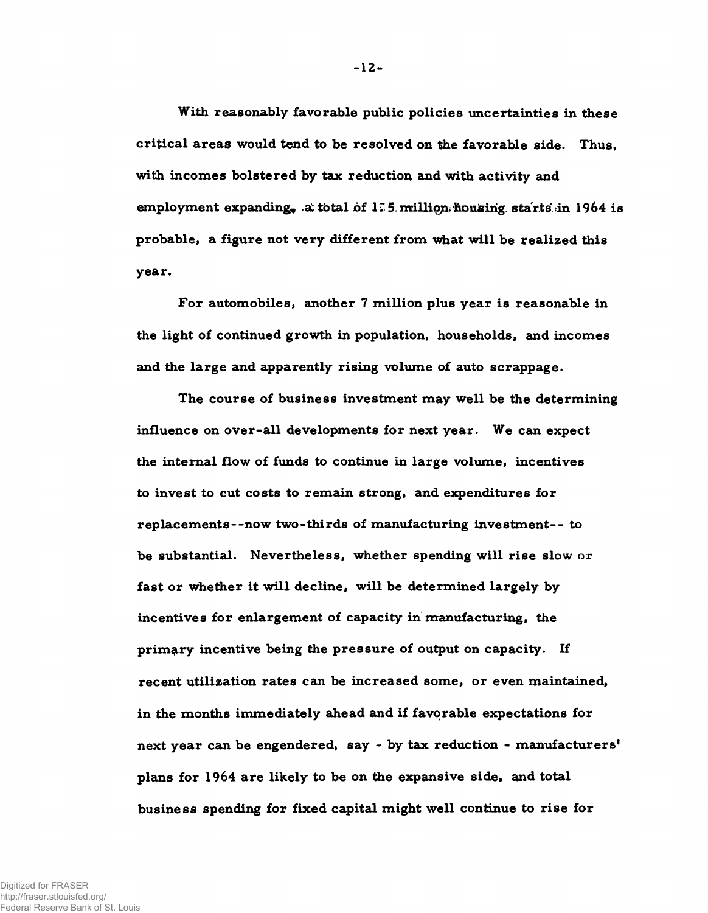With reasonably favorable public policies uncertainties in these critical areas would tend to be resolved on the favorable side. Thus, with incomes bolstered by tax reduction and with activity and em ployment expanding, a total of 1*Z*. 5. million housing starts in 1964 is probable, a figure not very different from what will be realized this year.

For automobiles, another 7 million plus year is reasonable in the light of continued growth in population, households, and incomes and the large and apparently rising volume of auto scrappage.

The course of business investment may well be the determining influence on over-all developments for next year. We can expect the internal flow of funds to continue in large volume, incentives to invest to cut costs to remain strong, and expenditures for replacements--now two-thirds of manufacturing investment-- to be substantial. Nevertheless, whether spending will rise slow or fast or whether it will decline, will be determined largely by incentives for enlargement of capacity in manufacturing, the primary incentive being the pressure of output on capacity. If recent utilization rates can be increased some, or even maintained, in the months immediately ahead and if favorable expectations for next year can be engendered, say - by tax reduction - manufacturers' plans for 1964 are likely to be on the expansive side, and total business spending for fixed capital might well continue to rise for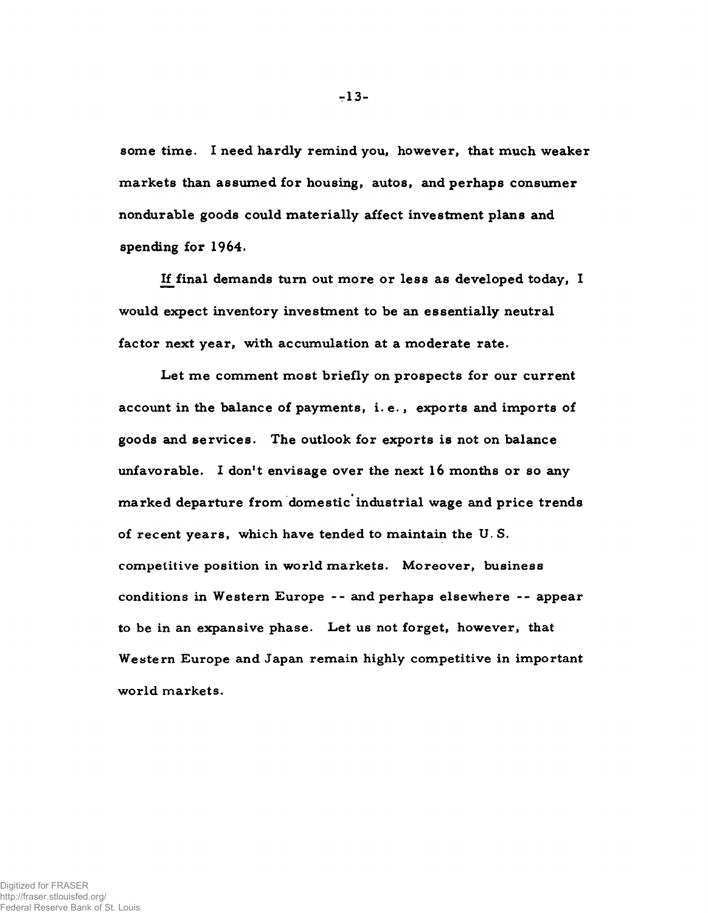some time. I need hardly remind you, however, that much weaker markets than assumed for housing, autos, and perhaps consumer nondurable goods could materially affect investment plans and spending for 1964.

If final demands turn out more or less as developed today, I would expect inventory investment to be an essentially neutral factor next year, with accumulation at a moderate rate.

Let me comment most briefly on prospects for our current account in the balance of payments, i.e., exports and imports of goods and services. The outlook for exports is not on balance unfavorable. I don't envisage over the next 16 months or so any marked departure from domestic industrial wage and price trends of recent years, which have tended to maintain the U.S. competitive position in world markets. Moreover, business conditions in Western Europe -- and perhaps elsewhere -- appear to be in an expansive phase. Let us not forget, however, that Western Europe and Japan remain highly competitive in important world markets.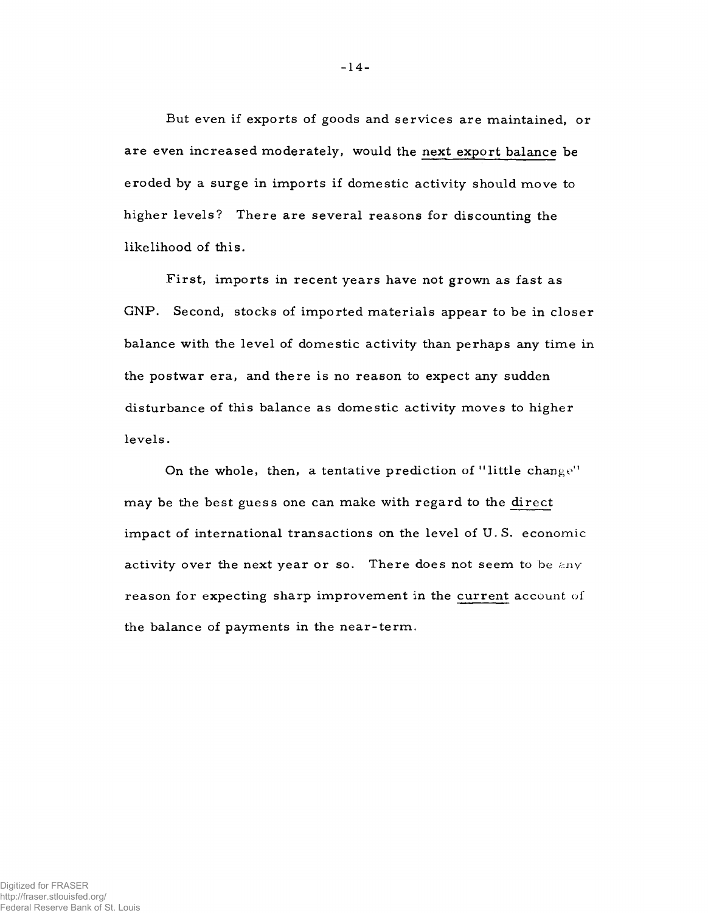But even if exports of goods and services are maintained, or are even increased moderately, would the next export balance be eroded by a surge in imports if domestic activity should move to higher levels? There are several reasons for discounting the likelihood of this.

First, imports in recent years have not grown as fast as GNP. Second, stocks of imported materials appear to be in closer balance with the level of domestic activity than perhaps any time in the postwar era, and there is no reason to expect any sudden disturbance of this balance as domestic activity moves to higher levels.

On the whole, then, a tentative prediction of "little change" may be the best guess one can make with regard to the direct impact of international transactions on the level of U.S. economic activity over the next year or so. There does not seem to be  $\epsilon n v$ reason for expecting sharp improvement in the current account of the balance of payments in the near-term.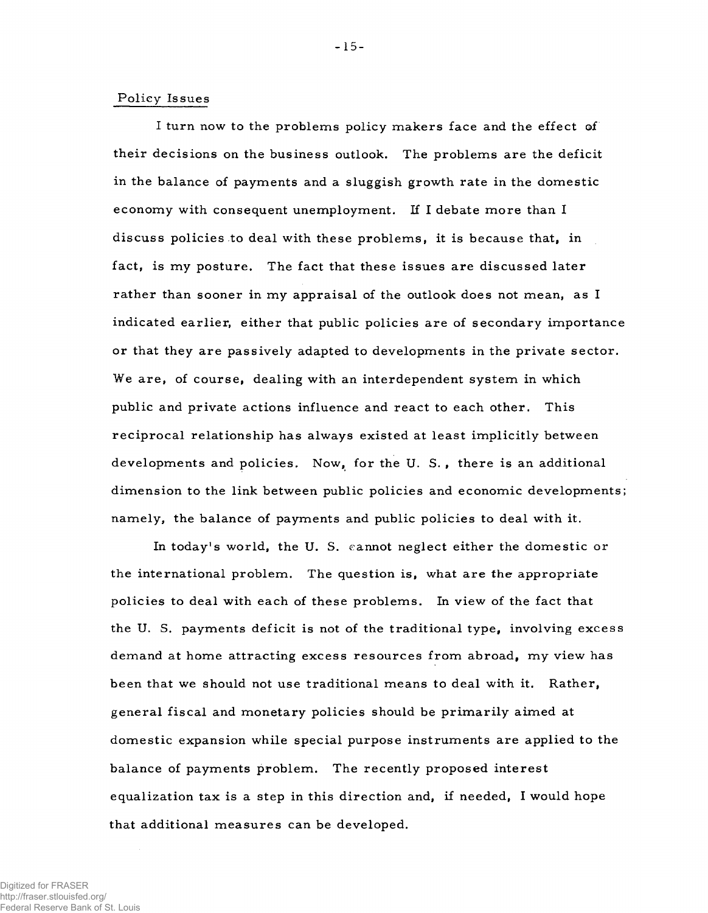## Policy Issues

I turn now to the problems policy makers face and the effect of their decisions on the business outlook. The problems are the deficit in the balance of payments and a sluggish growth rate in the domestic economy with consequent unemployment. If I debate more than I discuss policies to deal with these problems, it is because that, in fact, is my posture. The fact that these issues are discussed later rather than sooner in my appraisal of the outlook does not mean, as I indicated earlier, either that public policies are of secondary importance or that they are passively adapted to developments in the private sector. We are, of course, dealing with an interdependent system in which public and private actions influence and react to each other. This reciprocal relationship has always existed at least implicitly between developments and policies. Now, for the U.S., there is an additional dimension to the link between public policies and economic developments; namely, the balance of payments and public policies to deal with it.

In today's world, the U.S. cannot neglect either the domestic or the international problem. The question is, what are the appropriate policies to deal with each of these problems. In view of the fact that the U. S. payments deficit is not of the traditional type, involving excess demand at home attracting excess resources from abroad, my view has been that we should not use traditional means to deal with it. Rather, general fiscal and monetary policies should be primarily aimed at dom estic expansion while special purpose instruments are applied to the balance of payments problem. The recently proposed interest equalization tax is a step in this direction and, if needed, I would hope that additional measures can be developed.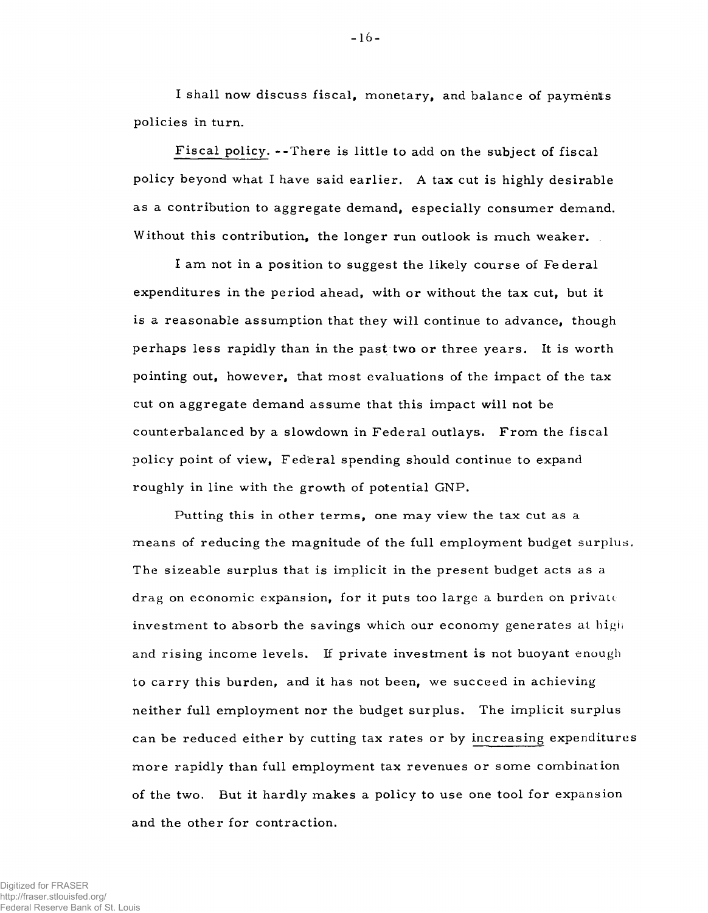I shall now discuss fiscal, monetary, and balance of payments policies in turn.

Fiscal policy. --There is little to add on the subject of fiscal p olicy beyond what I have said earlier. A tax cut is highly desirable as a contribution to aggregate demand, especially consumer demand. Without this contribution, the longer run outlook is much weaker.

I am not in a position to suggest the likely course of Federal expenditures in the period ahead, with or without the tax cut, but it is a reasonable assumption that they will continue to advance, though perhaps less rapidly than in the past two or three years. It is worth pointing out, however, that most evaluations of the impact of the tax cut on aggregate demand assume that this impact will not be counterbalanced by a slowdown in Federal outlays. From the fiscal policy point of view, Federal spending should continue to expand roughly in line with the growth of potential GNP.

Putting this in other terms, one may view the tax cut as a means of reducing the magnitude of the full employment budget surplus. The sizeable surplus that is implicit in the present budget acts as a drag on economic expansion, for it puts too large a burden on private investment to absorb the savings which our economy generates at high and rising income levels. If private investment is not buoyant enough to carry this burden, and it has not been, we succeed in achieving neither full employment nor the budget surplus. The implicit surplus can be reduced either by cutting tax rates or by increasing expenditures m ore rapidly than full employment tax revenues or some combination of the two. But it hardly makes a policy to use one tool for expansion and the other for contraction.

Digitized for FRASER http://fraser.stlouisfed.org/ Federal Reserve Bank of St. Louis  $-16-$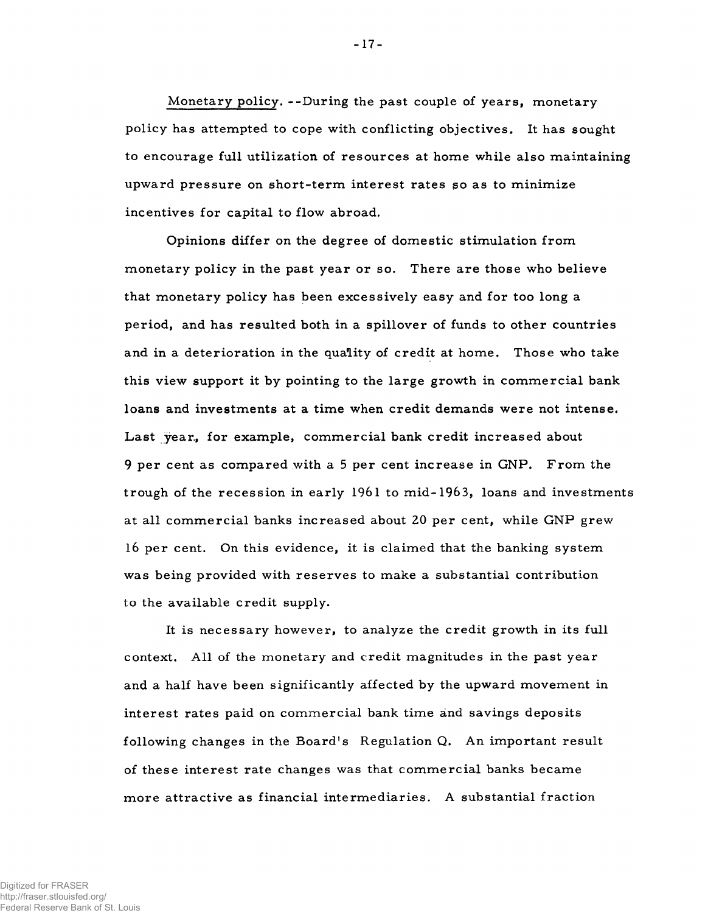Monetary policy. --During the past couple of years, monetary p olicy has attempted to cope with conflicting objectives. It has sought to encourage full utilization of resources at home while also maintaining upward pressure on short-term interest rates so as to minimize incentives for capital to flow abroad.

Opinions differ on the degree of domestic stimulation from monetary policy in the past year or so. There are those who believe that monetary policy has been excessively easy and for too long a period, and has resulted both in a spillover of funds to other countries and in a deterioration in the quality of credit at home. Those who take this view support it by pointing to the large growth in commercial bank loans and investments at a time when credit demands were not intense. Last year, for example, commercial bank credit increased about 9 per cent as compared with a 5 per cent increase in GNP. From the trough of the recession in early  $1961$  to mid- $1963$ , loans and investments at all commercial banks increased about 20 per cent, while GNP grew 16 per cent. On this evidence, it is claim ed that the banking system was being provided with reserves to make a substantial contribution to the available credit supply.

It is necessary however, to analyze the credit growth in its full context. All of the monetary and credit magnitudes in the past year and a half have been significantly affected by the upward movement in interest rates paid on commercial bank time and savings deposits following changes in the Board's Regulation Q. An important result of these interest rate changes was that commercial banks became more attractive as financial intermediaries. A substantial fraction

- 17-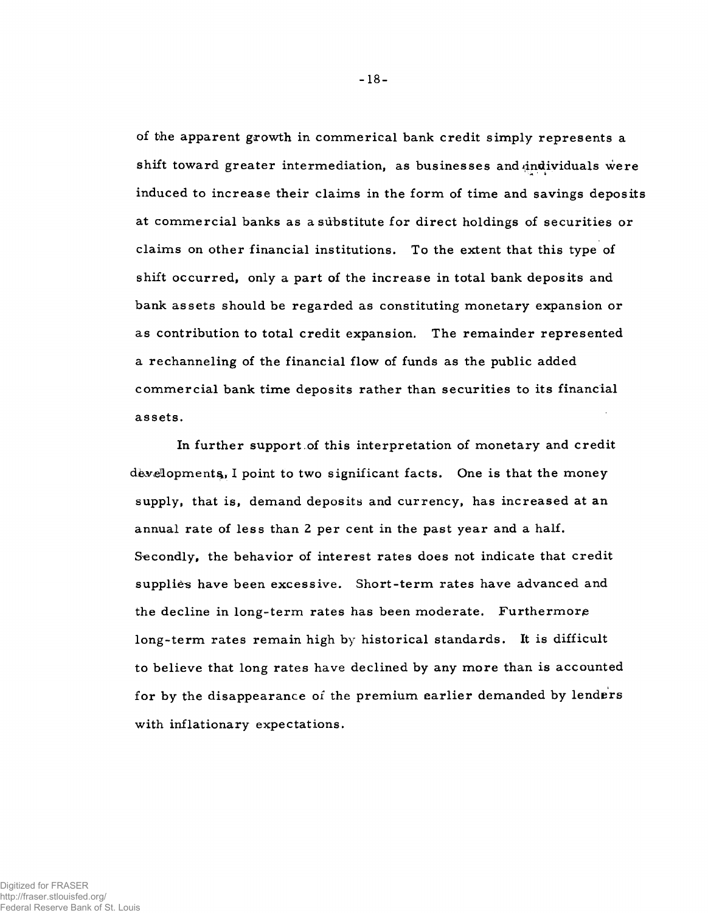of the apparent growth in commerical bank credit simply represents a shift toward greater intermediation, as businesses and individuals were induced to increase their claims in the form of time and savings deposits at commercial banks as a substitute for direct holdings of securities or claims on other financial institutions. To the extent that this type of shift occurred, only a part of the increase in total bank deposits and bank assets should be regarded as constituting monetary expansion or as contribution to total credit expansion. The remainder represented a re channeling of the financial flow of funds as the public added commercial bank time deposits rather than securities to its financial assets.

In further support of this interpretation of monetary and credit developments, I point to two significant facts. One is that the money supply, that is, demand deposits and currency, has increased at an annual rate of less than 2 per cent in the past year and a half. Secondly, the behavior of interest rates does not indicate that credit supplies have been excessive. Short-term rates have advanced and the decline in long-term rates has been moderate. Furthermore long-term rates remain high by historical standards. It is difficult to believe that long rates have declined by any more than is accounted for by the disappearance of the premium earlier demanded by lenders with inflationary expectations.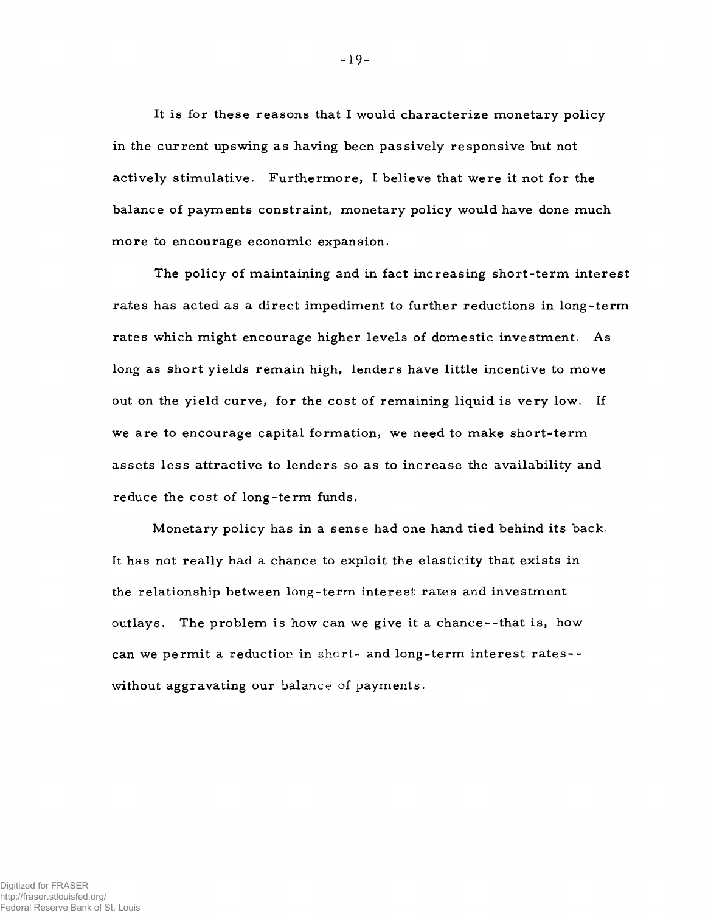It is for these reasons that I would characterize monetary policy in the current upswing as having been passively responsive but not actively stimulative. Furthermore, I believe that were it not for the balance of payments constraint, monetary policy would have done much more to encourage economic expansion.

The policy of maintaining and in fact increasing short-term interest rates has acted as a direct impediment to further reductions in long-term rates which might encourage higher levels of domestic investment. As long as short yields remain high, lenders have little incentive to move out on the yield curve, for the cost of remaining liquid is very low. If we are to encourage capital formation, we need to make short-term assets less attractive to lenders so as to increase the availability and reduce the cost of long-term funds.

Monetary policy has in a sense had one hand tied behind its back. It has not really had a chance to exploit the elasticity that exists in the relationship between long-term interest rates and investment outlays. The problem is how can we give it a chance--that is, how can we permit a reduction in short- and long-term interest rates-without aggravating our balance of payments.

- 19-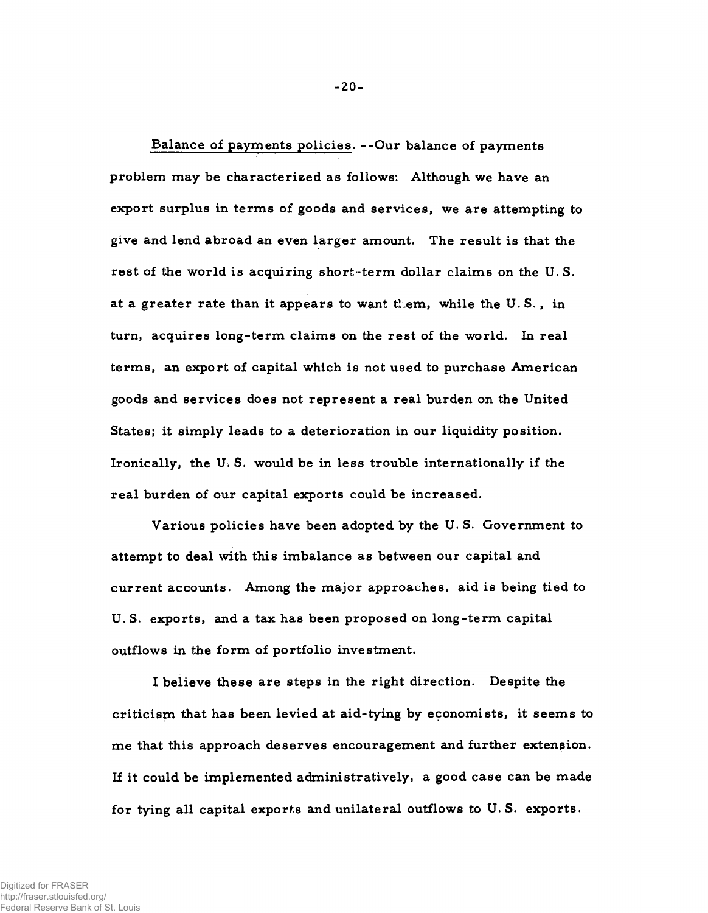Balance of payments policies. -- Our balance of payments problem may be characterized as follows: Although we have an export surplus in terms of goods and services, we are attempting to give and lend abroad an even larger amount. The result is that the rest of the world is acquiring short-term dollar claims on the U.S. at a greater rate than it appears to want them, while the U.S., in turn, acquires long-term claims on the rest of the world. In real terms, an export of capital which is not used to purchase American goods and services does not represent a real burden on the United States; it simply leads to a deterioration in our liquidity position. Ironically, the U.S. would be in less trouble internationally if the real burden of our capital exports could be increased.

Various policies have been adopted by the U.S. Government to attempt to deal with this imbalance as between our capital and current accounts. Among the major approaches, aid is being tied to U.S. exports, and a tax has been proposed on long-term capital outflows in the form of portfolio investment.

I believe these are steps in the right direction. Despite the criticism that has been levied at aid-tying by economists, it seems to me that this approach deserves encouragement and further extension. If it could be implemented administratively, a good case can be made for tying all capital exports and unilateral outflows to U.S. exports.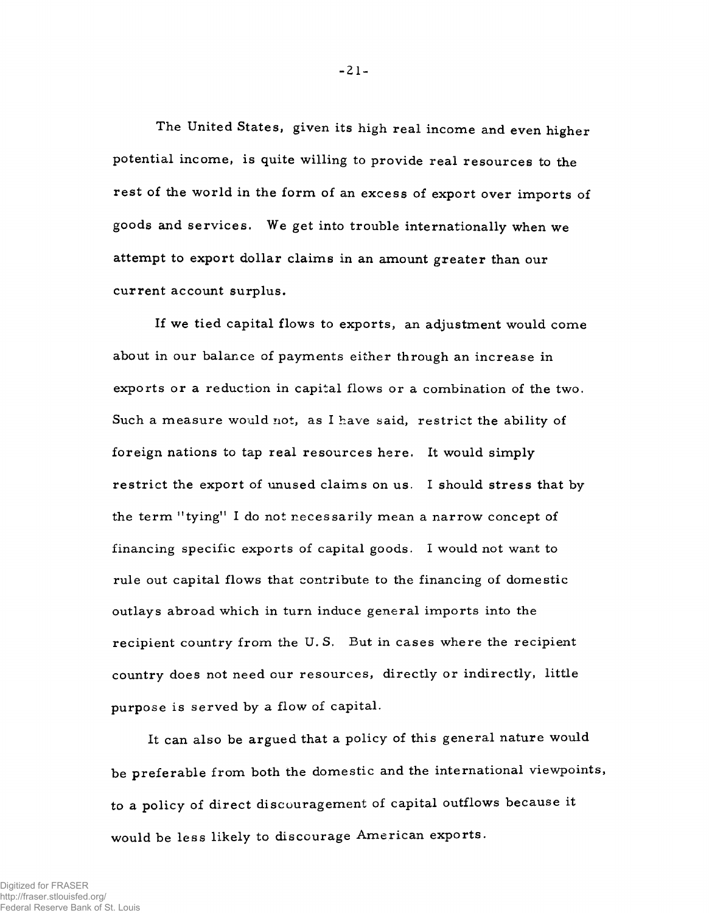The United States, given its high real income and even higher potential income, is quite willing to provide real resources to the rest of the world in the form of an excess of export over imports of goods and services. We get into trouble internationally when we attempt to export dollar claims in an amount greater than our current account surplus.

If we tied capital flows to exports, an adjustment would come about in our balance of payments either through an increase in exports or a reduction in capital flows or a combination of the two. Such a measure would not, as I have said, restrict the ability of foreign nations to tap real resources here. It would simply re strict the export of unused claims on us. I should stress that by the term "tying" I do not necessarily mean a narrow concept of financing sp ecific exports of capital goods. I would not want to rule out capital flows that contribute to the financing of domestic outlays abroad which in turn induce general imports into the recipient country from the U.S. But in cases where the recipient country does not need our resources, directly or indirectly, little purpose is served by a flow of capital.

It can also be argued that a policy of this general nature would be preferable from both the domestic and the international viewpoints, to a policy of direct discouragement of capital outflows because it would be less likely to discourage American exports.

-21-